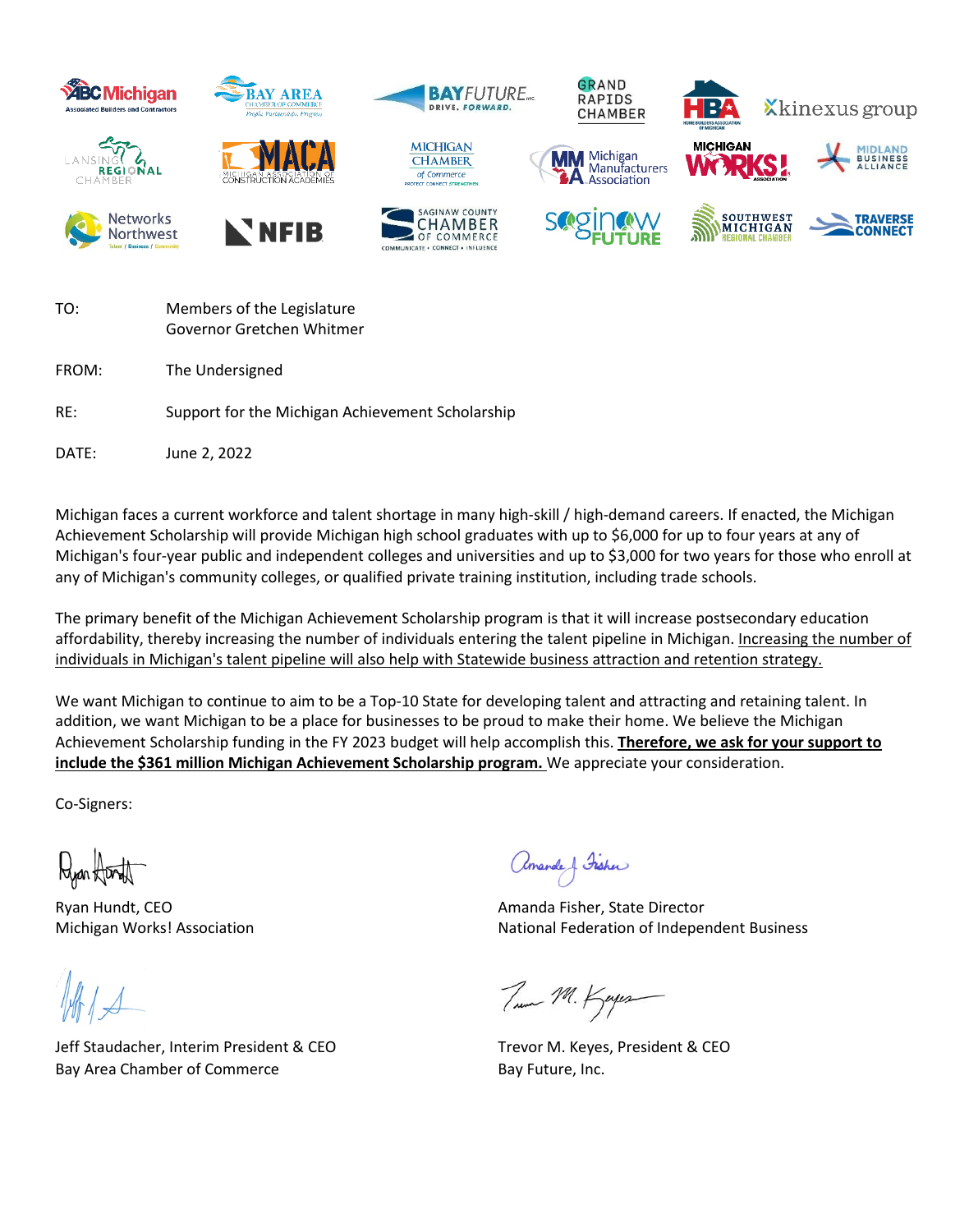

| TO:   | Members of the Legislature<br>Governor Gretchen Whitmer |
|-------|---------------------------------------------------------|
| FROM: | The Undersigned                                         |
| RE:   | Support for the Michigan Achievement Scholarship        |
| DATE: | June 2, 2022                                            |

Michigan faces a current workforce and talent shortage in many high-skill / high-demand careers. If enacted, the Michigan Achievement Scholarship will provide Michigan high school graduates with up to \$6,000 for up to four years at any of Michigan's four-year public and independent colleges and universities and up to \$3,000 for two years for those who enroll at any of Michigan's community colleges, or qualified private training institution, including trade schools.

The primary benefit of the Michigan Achievement Scholarship program is that it will increase postsecondary education affordability, thereby increasing the number of individuals entering the talent pipeline in Michigan. Increasing the number of individuals in Michigan's talent pipeline will also help with Statewide business attraction and retention strategy.

We want Michigan to continue to aim to be a Top-10 State for developing talent and attracting and retaining talent. In addition, we want Michigan to be a place for businesses to be proud to make their home. We believe the Michigan Achievement Scholarship funding in the FY 2023 budget will help accomplish this. **Therefore, we ask for your support to include the \$361 million Michigan Achievement Scholarship program.** We appreciate your consideration.

Co-Signers:

Ryan foorth

Jeff Staudacher, Interim President & CEO Trevor M. Keyes, President & CEO Bay Area Chamber of Commerce Bay Future, Inc.

amarde & Fisher

Ryan Hundt, CEO **Amanda Fisher, State Director** Amanda Fisher, State Director Michigan Works! Association National Federation of Independent Business

True M. Kapes